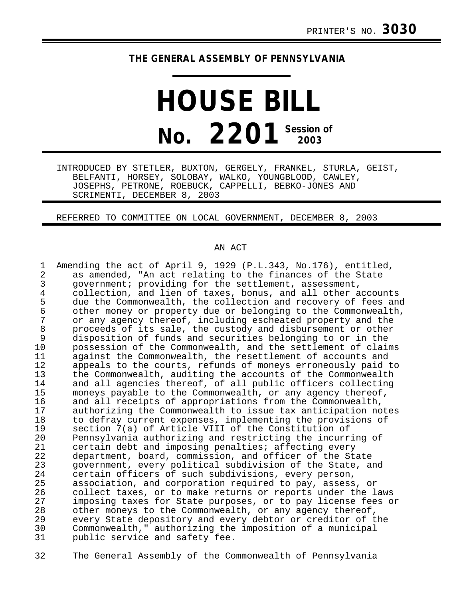## **THE GENERAL ASSEMBLY OF PENNSYLVANIA**

## **HOUSE BILL No. 2201 Session of 2003**

INTRODUCED BY STETLER, BUXTON, GERGELY, FRANKEL, STURLA, GEIST, BELFANTI, HORSEY, SOLOBAY, WALKO, YOUNGBLOOD, CAWLEY, JOSEPHS, PETRONE, ROEBUCK, CAPPELLI, BEBKO-JONES AND SCRIMENTI, DECEMBER 8, 2003

REFERRED TO COMMITTEE ON LOCAL GOVERNMENT, DECEMBER 8, 2003

## AN ACT

| 1              | Amending the act of April 9, 1929 (P.L.343, No.176), entitled, |
|----------------|----------------------------------------------------------------|
| $\overline{a}$ | as amended, "An act relating to the finances of the State      |
| 3              | government; providing for the settlement, assessment,          |
| 4              | collection, and lien of taxes, bonus, and all other accounts   |
| 5              | due the Commonwealth, the collection and recovery of fees and  |
| $\epsilon$     | other money or property due or belonging to the Commonwealth,  |
| 7              | or any agency thereof, including escheated property and the    |
| 8              | proceeds of its sale, the custody and disbursement or other    |
| 9              | disposition of funds and securities belonging to or in the     |
| 10             | possession of the Commonwealth, and the settlement of claims   |
| 11             | against the Commonwealth, the resettlement of accounts and     |
| 12             | appeals to the courts, refunds of moneys erroneously paid to   |
| 13             | the Commonwealth, auditing the accounts of the Commonwealth    |
| 14             | and all agencies thereof, of all public officers collecting    |
| 15             | moneys payable to the Commonwealth, or any agency thereof,     |
| 16             | and all receipts of appropriations from the Commonwealth,      |
| 17             | authorizing the Commonwealth to issue tax anticipation notes   |
| 18             | to defray current expenses, implementing the provisions of     |
| 19             | section 7(a) of Article VIII of the Constitution of            |
| 20             | Pennsylvania authorizing and restricting the incurring of      |
| 21             | certain debt and imposing penalties; affecting every           |
| 22             | department, board, commission, and officer of the State        |
| 23             | government, every political subdivision of the State, and      |
| 24             | certain officers of such subdivisions, every person,           |
| 25             | association, and corporation required to pay, assess, or       |
| 26             | collect taxes, or to make returns or reports under the laws    |
| 27             | imposing taxes for State purposes, or to pay license fees or   |
| 28             | other moneys to the Commonwealth, or any agency thereof,       |
| 29             | every State depository and every debtor or creditor of the     |
| 30             | Commonwealth," authorizing the imposition of a municipal       |
| 31             | public service and safety fee.                                 |

32 The General Assembly of the Commonwealth of Pennsylvania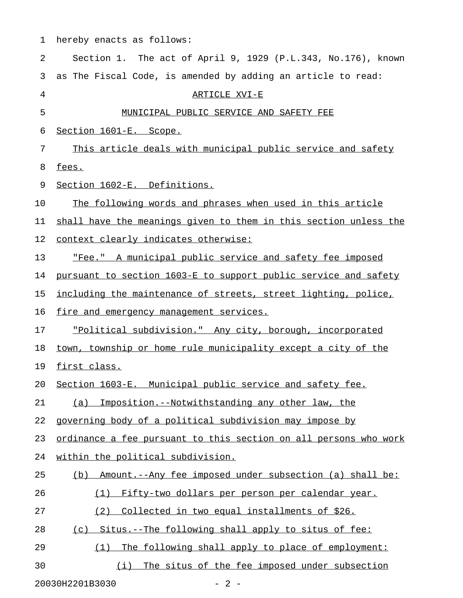| 1  | hereby enacts as follows:                                        |
|----|------------------------------------------------------------------|
| 2  | Section 1. The act of April 9, 1929 (P.L.343, No.176), known     |
| 3  | as The Fiscal Code, is amended by adding an article to read:     |
| 4  | ARTICLE XVI-E                                                    |
| 5  | MUNICIPAL PUBLIC SERVICE AND SAFETY FEE                          |
| 6  | Section 1601-E. Scope.                                           |
| 7  | This article deals with municipal public service and safety      |
| 8  | fees.                                                            |
| 9  | Section 1602-E. Definitions.                                     |
| 10 | The following words and phrases when used in this article        |
| 11 | shall have the meanings given to them in this section unless the |
| 12 | context clearly indicates otherwise:                             |
| 13 | "Fee." A municipal public service and safety fee imposed         |
| 14 | pursuant to section 1603-E to support public service and safety  |
| 15 | including the maintenance of streets, street lighting, police,   |
| 16 | fire and emergency management services.                          |
| 17 | "Political subdivision." Any city, borough, incorporated         |
| 18 | town, township or home rule municipality except a city of the    |
| 19 | first class.                                                     |
| 20 | Section 1603-E. Municipal public service and safety fee.         |
| 21 | Imposition.--Notwithstanding any other law, the<br>(a)           |
| 22 | governing body of a political subdivision may impose by          |
| 23 | ordinance a fee pursuant to this section on all persons who work |
| 24 | within the political subdivision.                                |
| 25 | Amount.--Any fee imposed under subsection (a) shall be:<br>(b)   |
| 26 | Fifty-two dollars per person per calendar year.<br>(1)           |
| 27 | Collected in two equal installments of \$26.<br>(2)              |
| 28 | (c) Situs.--The following shall apply to situs of fee:           |
| 29 | The following shall apply to place of employment:<br>(1)         |
| 30 | The situs of the fee imposed under subsection<br>(i)             |

20030H2201B3030 - 2 -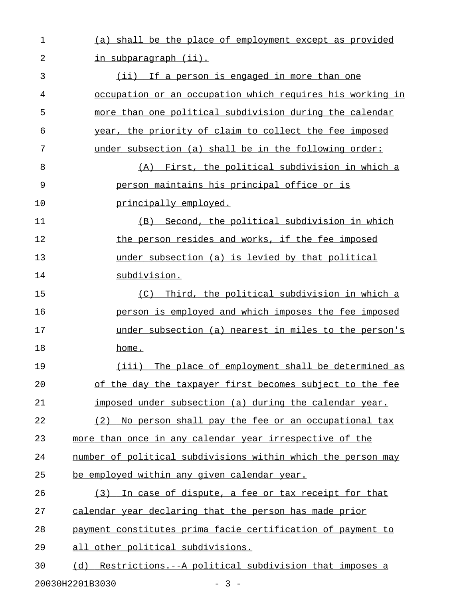| $\mathbf 1$ | (a) shall be the place of employment except as provided      |
|-------------|--------------------------------------------------------------|
| 2           | <u>in subparagraph (ii).</u>                                 |
| 3           | (ii) If a person is engaged in more than one                 |
| 4           | occupation or an occupation which requires his working in    |
| 5           | more than one political subdivision during the calendar      |
| 6           | year, the priority of claim to collect the fee imposed       |
| 7           | under subsection (a) shall be in the following order:        |
| 8           | (A) First, the political subdivision in which a              |
| 9           | person maintains his principal office or is                  |
| 10          | principally employed.                                        |
| 11          | (B) Second, the political subdivision in which               |
| 12          | the person resides and works, if the fee imposed             |
| 13          | under subsection (a) is levied by that political             |
| 14          | subdivision.                                                 |
| 15          | (C) Third, the political subdivision in which a              |
| 16          | person is employed and which imposes the fee imposed         |
| 17          | under subsection (a) nearest in miles to the person's        |
| 18          | home.                                                        |
| 19          | The place of employment shall be determined as<br>(iii)      |
| 20          | of the day the taxpayer first becomes subject to the fee     |
| 21          | imposed under subsection (a) during the calendar year.       |
| 22          | (2) No person shall pay the fee or an occupational tax       |
| 23          | more than once in any calendar year irrespective of the      |
| 24          | number of political subdivisions within which the person may |
| 25          | be employed within any given calendar year.                  |
| 26          | In case of dispute, a fee or tax receipt for that<br>(3)     |
| 27          | calendar year declaring that the person has made prior       |
| 28          | payment constitutes prima facie certification of payment to  |
| 29          | all other political subdivisions.                            |
| 30          | (d) Restrictions. -- A political subdivision that imposes a  |
|             | 20030H2201B3030<br>$-3 -$                                    |